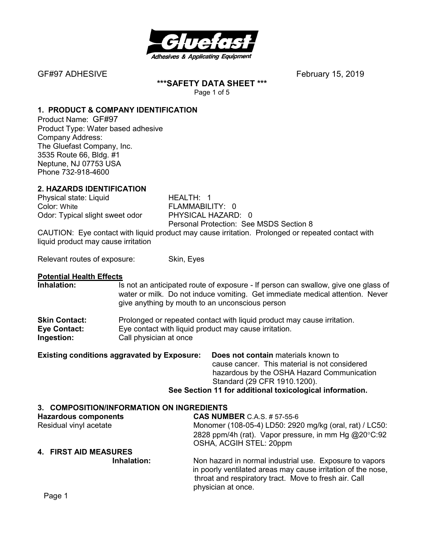

GF#97 ADHESIVEFebruary 15, 2019

**\*\*\*SAFETY DATA SHEET \*\*\***  Page 1 of 5

**1. PRODUCT & COMPANY IDENTIFICATION**

Product Name: GF#97 Product Type: Water based adhesive Company Address: The Gluefast Company, Inc. 3535 Route 66, Bldg. #1 Neptune, NJ 07753 USA Phone 732-918-4600

#### **2. HAZARDS IDENTIFICATION**

Physical state: Liquid HEALTH: 1 Color: White **FLAMMABILITY:** 0 Odor: Typical slight sweet odor PHYSICAL HAZARD: 0

Personal Protection: See MSDS Section 8

CAUTION: Eye contact with liquid product may cause irritation. Prolonged or repeated contact with liquid product may cause irritation

Relevant routes of exposure: Skin, Eyes

# **Potential Health Effects**

Is not an anticipated route of exposure - If person can swallow, give one glass of water or milk. Do not induce vomiting. Get immediate medical attention. Never give anything by mouth to an unconscious person **Skin Contact:** Prolonged or repeated contact with liquid product may cause irritation. **Eye Contact:** Eye contact with liquid product may cause irritation. **Ingestion:** Call physician at once **Existing conditions aggravated by Exposure: Does not contain** materials known to

| EXISting conditions aggravated by EXPOSURE. | <b>DUES NOT CONTAIN MATERIALS KNOWN TO</b>               |
|---------------------------------------------|----------------------------------------------------------|
|                                             | cause cancer. This material is not considered            |
|                                             | hazardous by the OSHA Hazard Communication               |
|                                             | Standard (29 CFR 1910.1200).                             |
|                                             | See Section 11 for additional toxicological information. |
|                                             |                                                          |

| 3. COMPOSITION/INFORMATION ON INGREDIENTS |                                                                                                                                                                                                        |
|-------------------------------------------|--------------------------------------------------------------------------------------------------------------------------------------------------------------------------------------------------------|
| <b>Hazardous components</b>               | <b>CAS NUMBER C.A.S. # 57-55-6</b>                                                                                                                                                                     |
| Residual vinyl acetate                    | Monomer (108-05-4) LD50: 2920 mg/kg (oral, rat) / LC50:                                                                                                                                                |
|                                           | 2828 ppm/4h (rat). Vapor pressure, in mm Hg @20°C:92                                                                                                                                                   |
|                                           | OSHA, ACGIH STEL: 20ppm                                                                                                                                                                                |
| 4. FIRST AID MEASURES                     |                                                                                                                                                                                                        |
| Inhalation:                               | Non hazard in normal industrial use. Exposure to vapors<br>in poorly ventilated areas may cause irritation of the nose,<br>throat and respiratory tract. Move to fresh air. Call<br>physician at once. |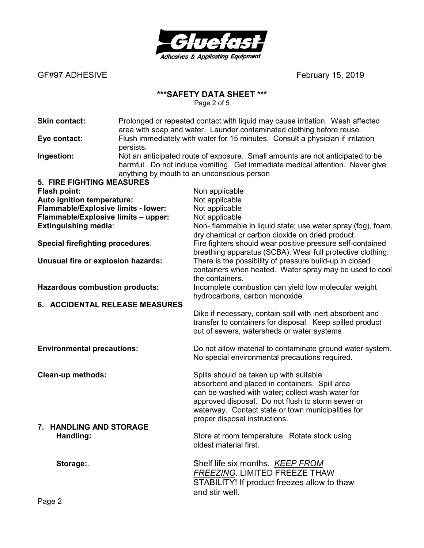

GF#97 ADHESIVE *CF#97 ADHESIVE* 

# **\*\*\*SAFETY DATA SHEET \*\*\***

Page 2 of 5

| <b>Skin contact:</b>                    |           | Prolonged or repeated contact with liquid may cause irritation. Wash affected<br>area with soap and water. Launder contaminated clothing before reuse.                                                      |
|-----------------------------------------|-----------|-------------------------------------------------------------------------------------------------------------------------------------------------------------------------------------------------------------|
| Eye contact:                            | persists. | Flush immediately with water for 15 minutes. Consult a physician if irritation                                                                                                                              |
| Ingestion:                              |           | Not an anticipated route of exposure. Small amounts are not anticipated to be<br>harmful. Do not induce vomiting. Get immediate medical attention. Never give<br>anything by mouth to an unconscious person |
| <b>5. FIRE FIGHTING MEASURES</b>        |           |                                                                                                                                                                                                             |
| <b>Flash point:</b>                     |           | Non applicable                                                                                                                                                                                              |
| Auto ignition temperature:              |           | Not applicable                                                                                                                                                                                              |
| Flammable/Explosive limits - lower:     |           | Not applicable                                                                                                                                                                                              |
| Flammable/Explosive limits - upper:     |           | Not applicable                                                                                                                                                                                              |
| Extinguishing media:                    |           | Non- flammable in liquid state; use water spray (fog), foam,                                                                                                                                                |
|                                         |           | dry chemical or carbon dioxide on dried product.                                                                                                                                                            |
| <b>Special firefighting procedures:</b> |           | Fire fighters should wear positive pressure self-contained                                                                                                                                                  |
|                                         |           | breathing apparatus (SCBA). Wear full protective clothing.                                                                                                                                                  |
| Unusual fire or explosion hazards:      |           | There is the possibility of pressure build-up in closed                                                                                                                                                     |
|                                         |           | containers when heated. Water spray may be used to cool                                                                                                                                                     |
|                                         |           | the containers.                                                                                                                                                                                             |
| <b>Hazardous combustion products:</b>   |           | Incomplete combustion can yield low molecular weight                                                                                                                                                        |
|                                         |           | hydrocarbons, carbon monoxide.                                                                                                                                                                              |
| 6. ACCIDENTAL RELEASE MEASURES          |           |                                                                                                                                                                                                             |
|                                         |           | Dike if necessary, contain spill with inert absorbent and                                                                                                                                                   |
|                                         |           | transfer to containers for disposal. Keep spilled product                                                                                                                                                   |
|                                         |           | out of sewers, watersheds or water systems                                                                                                                                                                  |
| <b>Environmental precautions:</b>       |           | Do not allow material to contaminate ground water system.                                                                                                                                                   |
|                                         |           | No special environmental precautions required.                                                                                                                                                              |
| <b>Clean-up methods:</b>                |           | Spills should be taken up with suitable                                                                                                                                                                     |
|                                         |           | absorbent and placed in containers. Spill area                                                                                                                                                              |
|                                         |           | can be washed with water; collect wash water for                                                                                                                                                            |
|                                         |           | approved disposal. Do not flush to storm sewer or                                                                                                                                                           |
|                                         |           | waterway. Contact state or town municipalities for                                                                                                                                                          |
|                                         |           | proper disposal instructions.                                                                                                                                                                               |
| 7. HANDLING AND STORAGE                 |           |                                                                                                                                                                                                             |
| Handling:                               |           | Store at room temperature. Rotate stock using                                                                                                                                                               |
|                                         |           | oldest material first.                                                                                                                                                                                      |
| Storage:                                |           | Shelf life six months. KEEP FROM                                                                                                                                                                            |
|                                         |           | <b>FREEZING. LIMITED FREEZE THAW</b>                                                                                                                                                                        |
|                                         |           | STABILITY! If product freezes allow to thaw                                                                                                                                                                 |
|                                         |           | and stir well.                                                                                                                                                                                              |
|                                         |           |                                                                                                                                                                                                             |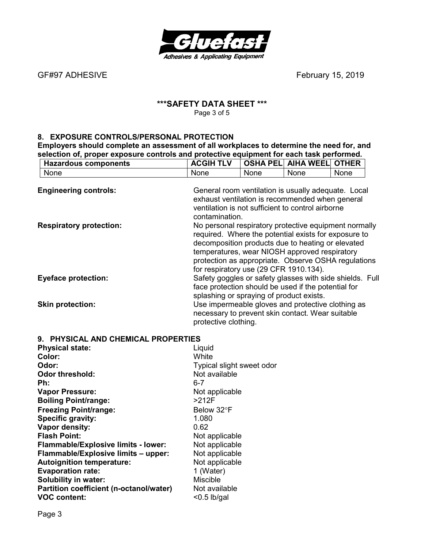

GF#97 ADHESIVE *FEBREF497 ADHESIVE February 15, 2019* 

# **\*\*\*SAFETY DATA SHEET \*\*\***  Page 3 of 5

## **8. EXPOSURE CONTROLS/PERSONAL PROTECTION**

**Employers should complete an assessment of all workplaces to determine the need for, and selection of, proper exposure controls and protective equipment for each task performed.** 

| <b>Hazardous components</b>         | <b>ACGIH TLV</b>                                                                   |      | <b>OSHA PEL AIHA WEEL OTHER</b>                                                                                                                                                                                     |      |
|-------------------------------------|------------------------------------------------------------------------------------|------|---------------------------------------------------------------------------------------------------------------------------------------------------------------------------------------------------------------------|------|
| None                                | None                                                                               | None | None                                                                                                                                                                                                                | None |
| <b>Engineering controls:</b>        |                                                                                    |      | General room ventilation is usually adequate. Local<br>exhaust ventilation is recommended when general<br>ventilation is not sufficient to control airborne                                                         |      |
| <b>Respiratory protection:</b>      | contamination.                                                                     |      | No personal respiratory protective equipment normally<br>required. Where the potential exists for exposure to<br>decomposition products due to heating or elevated<br>temperatures, wear NIOSH approved respiratory |      |
| <b>Eyeface protection:</b>          | for respiratory use (29 CFR 1910.134).<br>splashing or spraying of product exists. |      | protection as appropriate. Observe OSHA regulations<br>Safety goggles or safety glasses with side shields. Full<br>face protection should be used if the potential for                                              |      |
| <b>Skin protection:</b>             | protective clothing.                                                               |      | Use impermeable gloves and protective clothing as<br>necessary to prevent skin contact. Wear suitable                                                                                                               |      |
| 9. PHYSICAL AND CHEMICAL PROPERTIES |                                                                                    |      |                                                                                                                                                                                                                     |      |
| <b>Physical state:</b>              | Liquid                                                                             |      |                                                                                                                                                                                                                     |      |
| Color:                              | White                                                                              |      |                                                                                                                                                                                                                     |      |
| Odor:                               | Typical slight sweet odor                                                          |      |                                                                                                                                                                                                                     |      |
| <b>Odor threshold:</b>              | Not available                                                                      |      |                                                                                                                                                                                                                     |      |
| Ph:                                 | $6 - 7$                                                                            |      |                                                                                                                                                                                                                     |      |
| <b>Vapor Pressure:</b>              | Not applicable                                                                     |      |                                                                                                                                                                                                                     |      |
| <b>Boiling Point/range:</b>         | $>212F$                                                                            |      |                                                                                                                                                                                                                     |      |
| <b>Freezing Point/range:</b>        | Below 32°F                                                                         |      |                                                                                                                                                                                                                     |      |
| Specific gravity:                   | 1.080                                                                              |      |                                                                                                                                                                                                                     |      |
| Vapor density:                      | 0.62                                                                               |      |                                                                                                                                                                                                                     |      |
| <b>Flash Point:</b>                 | Not applicable                                                                     |      |                                                                                                                                                                                                                     |      |
| Flammable/Explosive limits - lower: | Not applicable                                                                     |      |                                                                                                                                                                                                                     |      |

**Flammable/Explosive limits – upper:** Not applicable Autoignition temperature: Not applicable **Evaporation rate:** 1 (Water)<br> **Solubility in water:** 1 Miscible **Solubility in water: Miscible** Miscible<br> **Partition coefficient (n-octanol/water)** Not available **Partition coefficient (n-octanol/water)** 

**VOC content:**  $\leq 0.5$  lb/gal

Page 3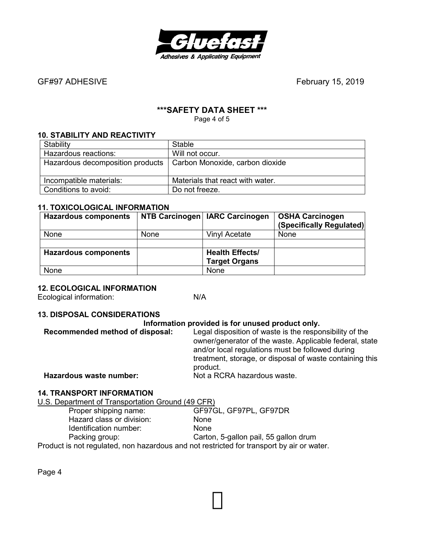

GF#97 ADHESIVEFebruary 15, 2019

# **\*\*\*SAFETY DATA SHEET \*\*\***

Page 4 of 5

# **10. STABILITY AND REACTIVITY**

| Stability                        | Stable                           |
|----------------------------------|----------------------------------|
| Hazardous reactions:             | Will not occur.                  |
| Hazardous decomposition products | Carbon Monoxide, carbon dioxide  |
| Incompatible materials:          | Materials that react with water. |
| Conditions to avoid:             | Do not freeze.                   |

#### **11. TOXICOLOGICAL INFORMATION**

| <b>Hazardous components</b> |      | NTB Carcinogen   IARC Carcinogen | <b>OSHA Carcinogen</b><br>(Specifically Regulated) |
|-----------------------------|------|----------------------------------|----------------------------------------------------|
| None                        | None | Vinyl Acetate                    | None                                               |
|                             |      |                                  |                                                    |
| <b>Hazardous components</b> |      | <b>Health Effects/</b>           |                                                    |
|                             |      | <b>Target Organs</b>             |                                                    |
| None                        |      | <b>None</b>                      |                                                    |

#### **12. ECOLOGICAL INFORMATION**

Ecological information: N/A

#### **13. DISPOSAL CONSIDERATIONS**

#### **Information provided is for unused product only.**

| Recommended method of disposal: | Legal disposition of waste is the responsibility of the<br>owner/generator of the waste. Applicable federal, state<br>and/or local regulations must be followed during |
|---------------------------------|------------------------------------------------------------------------------------------------------------------------------------------------------------------------|
|                                 | treatment, storage, or disposal of waste containing this<br>product.                                                                                                   |
| Hazardous waste number:         | Not a RCRA hazardous waste.                                                                                                                                            |

#### **14. TRANSPORT INFORMATION**

U.S. Department of Transportation Ground (49 CFR)

| Proper shipping name:                                                                     | GF97GL, GF97PL, GF97DR                |
|-------------------------------------------------------------------------------------------|---------------------------------------|
| Hazard class or division:                                                                 | None                                  |
| Identification number:                                                                    | <b>None</b>                           |
| Packing group:                                                                            | Carton, 5-gallon pail, 55 gallon drum |
| Product is not regulated, non hazardous and not restricted for transport by air or water. |                                       |

Page 4